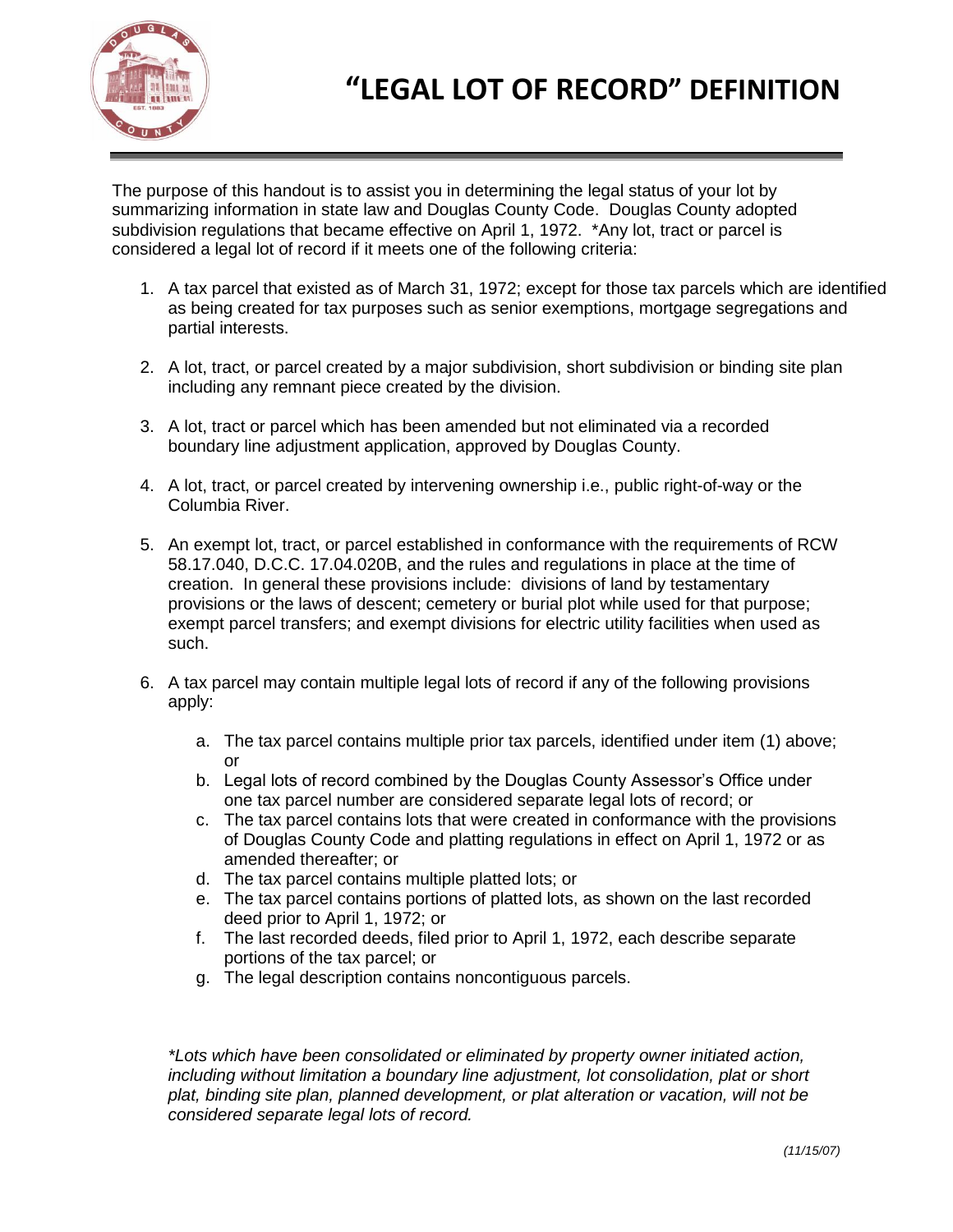

The purpose of this handout is to assist you in determining the legal status of your lot by summarizing information in state law and Douglas County Code. Douglas County adopted subdivision regulations that became effective on April 1, 1972. \*Any lot, tract or parcel is considered a legal lot of record if it meets one of the following criteria:

- 1. A tax parcel that existed as of March 31, 1972; except for those tax parcels which are identified as being created for tax purposes such as senior exemptions, mortgage segregations and partial interests.
- 2. A lot, tract, or parcel created by a major subdivision, short subdivision or binding site plan including any remnant piece created by the division.
- 3. A lot, tract or parcel which has been amended but not eliminated via a recorded boundary line adjustment application, approved by Douglas County.
- 4. A lot, tract, or parcel created by intervening ownership i.e., public right-of-way or the Columbia River.
- 5. An exempt lot, tract, or parcel established in conformance with the requirements of RCW 58.17.040, D.C.C. 17.04.020B, and the rules and regulations in place at the time of creation. In general these provisions include: divisions of land by testamentary provisions or the laws of descent; cemetery or burial plot while used for that purpose; exempt parcel transfers; and exempt divisions for electric utility facilities when used as such.
- 6. A tax parcel may contain multiple legal lots of record if any of the following provisions apply:
	- a. The tax parcel contains multiple prior tax parcels, identified under item (1) above; or
	- b. Legal lots of record combined by the Douglas County Assessor's Office under one tax parcel number are considered separate legal lots of record; or
	- c. The tax parcel contains lots that were created in conformance with the provisions of Douglas County Code and platting regulations in effect on April 1, 1972 or as amended thereafter; or
	- d. The tax parcel contains multiple platted lots; or
	- e. The tax parcel contains portions of platted lots, as shown on the last recorded deed prior to April 1, 1972; or
	- f. The last recorded deeds, filed prior to April 1, 1972, each describe separate portions of the tax parcel; or
	- g. The legal description contains noncontiguous parcels.

*\*Lots which have been consolidated or eliminated by property owner initiated action, including without limitation a boundary line adjustment, lot consolidation, plat or short plat, binding site plan, planned development, or plat alteration or vacation, will not be considered separate legal lots of record.*